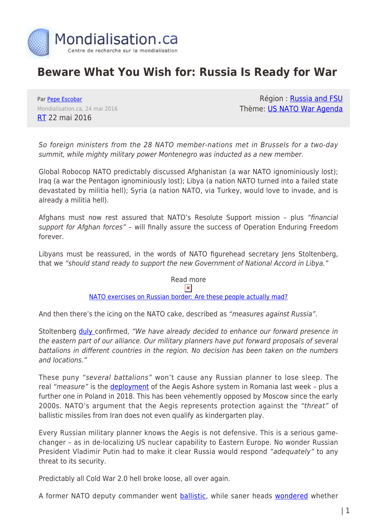

# **Beware What You Wish for: Russia Is Ready for War**

Par [Pepe Escobar](https://www.mondialisation.ca/author/pepe-escobar) Mondialisation.ca, 24 mai 2016 [RT](https://www.rt.com/op-edge/344002-beware-russia-war-us/) 22 mai 2016

Région : [Russia and FSU](https://www.mondialisation.ca/region/russia-and-fsu) Thème: [US NATO War Agenda](https://www.mondialisation.ca/theme/us-nato-war-agenda)

So foreign ministers from the 28 NATO member-nations met in Brussels for a two-day summit, while mighty military power Montenegro was inducted as a new member.

Global Robocop NATO predictably discussed Afghanistan (a war NATO ignominiously lost); Iraq (a war the Pentagon ignominiously lost); Libya (a nation NATO turned into a failed state devastated by militia hell); Syria (a nation NATO, via Turkey, would love to invade, and is already a militia hell).

Afghans must now rest assured that NATO's Resolute Support mission – plus "financial support for Afghan forces" - will finally assure the success of Operation Enduring Freedom forever.

Libyans must be reassured, in the words of NATO figurehead secretary Jens Stoltenberg, that we "should stand ready to support the new Government of National Accord in Libya."

> Read more  $\pmb{\times}$ [NATO exercises on Russian border: Are these people actually mad?](https://www.rt.com/op-edge/343438-drills-nato-russia-estonia/)

And then there's the icing on the NATO cake, described as "measures against Russia".

Stoltenberg **duly** confirmed, "We have already decided to enhance our forward presence in the eastern part of our alliance. Our military planners have put forward proposals of several battalions in different countries in the region. No decision has been taken on the numbers and locations."

These puny "several battalions" won't cause any Russian planner to lose sleep. The real "measure" is the **deployment** of the Aegis Ashore system in Romania last week - plus a further one in Poland in 2018. This has been vehemently opposed by Moscow since the early 2000s. NATO's argument that the Aegis represents protection against the "threat" of ballistic missiles from Iran does not even qualify as kindergarten play.

Every Russian military planner knows the Aegis is not defensive. This is a serious gamechanger – as in de-localizing US nuclear capability to Eastern Europe. No wonder Russian President Vladimir Putin had to make it clear Russia would respond "adequately" to any threat to its security.

Predictably all Cold War 2.0 hell broke loose, all over again.

A former NATO deputy commander went [ballistic](http://www.theguardian.com/world/2016/may/18/%20west-russia-on-course-for-war-nato-ex-deputy-commander), while saner heads [wondered](http://www.huffingtonpost.com/alastair-crooke/putin-west-war_b_9991162.html) whether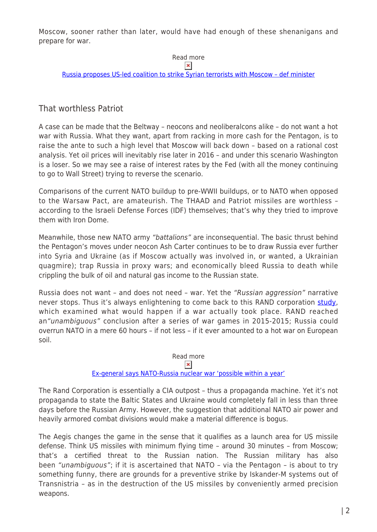Moscow, sooner rather than later, would have had enough of these shenanigans and prepare for war.

#### Read more  $\pmb{\times}$

[Russia proposes US-led coalition to strike Syrian terrorists with Moscow – def minister](https://www.rt.com/news/343767-russia-us-coalition-syria/)

### That worthless Patriot

A case can be made that the Beltway – neocons and neoliberalcons alike – do not want a hot war with Russia. What they want, apart from racking in more cash for the Pentagon, is to raise the ante to such a high level that Moscow will back down – based on a rational cost analysis. Yet oil prices will inevitably rise later in 2016 – and under this scenario Washington is a loser. So we may see a raise of interest rates by the Fed (with all the money continuing to go to Wall Street) trying to reverse the scenario.

Comparisons of the current NATO buildup to pre-WWII buildups, or to NATO when opposed to the Warsaw Pact, are amateurish. The THAAD and Patriot missiles are worthless – according to the Israeli Defense Forces (IDF) themselves; that's why they tried to improve them with Iron Dome.

Meanwhile, those new NATO army "battalions" are inconsequential. The basic thrust behind the Pentagon's moves under neocon Ash Carter continues to be to draw Russia ever further into Syria and Ukraine (as if Moscow actually was involved in, or wanted, a Ukrainian quagmire); trap Russia in proxy wars; and economically bleed Russia to death while crippling the bulk of oil and natural gas income to the Russian state.

Russia does not want – and does not need – war. Yet the "Russian aggression" narrative never stops. Thus it's always enlightening to come back to this RAND corporation [study,](http://nationalinterest.org/blog/the-buzz/revealed-russian-invasion-could-overrun-nato-60-hours-15112) which examined what would happen if a war actually took place. RAND reached an"unambiguous" conclusion after a series of war games in 2015-2015; Russia could overrun NATO in a mere 60 hours – if not less – if it ever amounted to a hot war on European soil.

## Read more

### $\pmb{\times}$

### [Ex-general says NATO-Russia nuclear war 'possible within a year'](https://www.rt.com/news/343420-nato-nuclear-war-russia/)

The Rand Corporation is essentially a CIA outpost – thus a propaganda machine. Yet it's not propaganda to state the Baltic States and Ukraine would completely fall in less than three days before the Russian Army. However, the suggestion that additional NATO air power and heavily armored combat divisions would make a material difference is bogus.

The Aegis changes the game in the sense that it qualifies as a launch area for US missile defense. Think US missiles with minimum flying time – around 30 minutes – from Moscow; that's a certified threat to the Russian nation. The Russian military has also been "unambiguous"; if it is ascertained that NATO – via the Pentagon – is about to try something funny, there are grounds for a preventive strike by Iskander-M systems out of Transnistria – as in the destruction of the US missiles by conveniently armed precision weapons.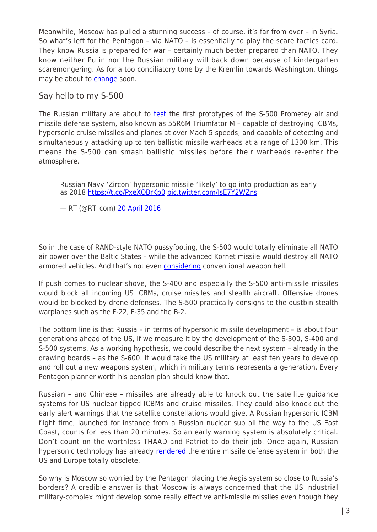Meanwhile, Moscow has pulled a stunning success – of course, it's far from over – in Syria. So what's left for the Pentagon – via NATO – is essentially to play the scare tactics card. They know Russia is prepared for war – certainly much better prepared than NATO. They know neither Putin nor the Russian military will back down because of kindergarten scaremongering. As for a too conciliatory tone by the Kremlin towards Washington, things may be about to **change** soon.

Say hello to my S-500

The Russian military are about to [test](http://rbth.com/defence/2016/04/07/enemies-will-not-be-able-to-listen-in-on-russias-new-s-500-system_582867) the first prototypes of the S-500 Prometey air and missile defense system, also known as 55R6M Triumfator M – capable of destroying ICBMs, hypersonic cruise missiles and planes at over Mach 5 speeds; and capable of detecting and simultaneously attacking up to ten ballistic missile warheads at a range of 1300 km. This means the S-500 can smash ballistic missiles before their warheads re-enter the atmosphere.

Russian Navy 'Zircon' hypersonic missile 'likely' to go into production as early as 2018 <https://t.co/PxeXQBrKp0> [pic.twitter.com/JsE7Y2WZns](https://t.co/JsE7Y2WZns)

— RT (@RT\_com) [20 April 2016](https://twitter.com/RT_com/status/722813677104205824)

So in the case of RAND-style NATO pussyfooting, the S-500 would totally eliminate all NATO air power over the Baltic States – while the advanced Kornet missile would destroy all NATO armored vehicles. And that's not even [considering](http://russia-insider.com/en/politics/russia-makes-sure-war-will-be-hell-its-enemies-video/ri14375) conventional weapon hell.

If push comes to nuclear shove, the S-400 and especially the S-500 anti-missile missiles would block all incoming US ICBMs, cruise missiles and stealth aircraft. Offensive drones would be blocked by drone defenses. The S-500 practically consigns to the dustbin stealth warplanes such as the F-22, F-35 and the B-2.

The bottom line is that Russia – in terms of hypersonic missile development – is about four generations ahead of the US, if we measure it by the development of the S-300, S-400 and S-500 systems. As a working hypothesis, we could describe the next system – already in the drawing boards – as the S-600. It would take the US military at least ten years to develop and roll out a new weapons system, which in military terms represents a generation. Every Pentagon planner worth his pension plan should know that.

Russian – and Chinese – missiles are already able to knock out the satellite guidance systems for US nuclear tipped ICBMs and cruise missiles. They could also knock out the early alert warnings that the satellite constellations would give. A Russian hypersonic ICBM flight time, launched for instance from a Russian nuclear sub all the way to the US East Coast, counts for less than 20 minutes. So an early warning system is absolutely critical. Don't count on the worthless THAAD and Patriot to do their job. Once again, Russian hypersonic technology has already [rendered](http://russia-insider.com/en/can-russia-destroy-us-missile-defenses-europe/ri14460) the entire missile defense system in both the US and Europe totally obsolete.

So why is Moscow so worried by the Pentagon placing the Aegis system so close to Russia's borders? A credible answer is that Moscow is always concerned that the US industrial military-complex might develop some really effective anti-missile missiles even though they